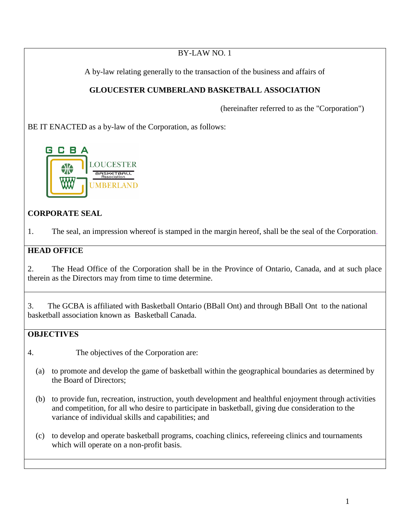BY-LAW NO. 1 A by-law relating generally to the transaction of the business and affairs of **GLOUCESTER CUMBERLAND BASKETBALL ASSOCIATION** (hereinafter referred to as the "Corporation") BE IT ENACTED as a by-law of the Corporation, as follows: G C B A **OUCESTER MBERLAND CORPORATE SEAL** 1. The seal, an impression whereof is stamped in the margin hereof, shall be the seal of the Corporation. **HEAD OFFICE**

2. The Head Office of the Corporation shall be in the Province of Ontario, Canada, and at such place therein as the Directors may from time to time determine.

3. The GCBA is affiliated with Basketball Ontario (BBall Ont) and through BBall Ont to the national basketball association known as Basketball Canada.

# **OBJECTIVES**

- 4. The objectives of the Corporation are:
	- (a) to promote and develop the game of basketball within the geographical boundaries as determined by the Board of Directors;
	- (b) to provide fun, recreation, instruction, youth development and healthful enjoyment through activities and competition, for all who desire to participate in basketball, giving due consideration to the variance of individual skills and capabilities; and
	- (c) to develop and operate basketball programs, coaching clinics, refereeing clinics and tournaments which will operate on a non-profit basis.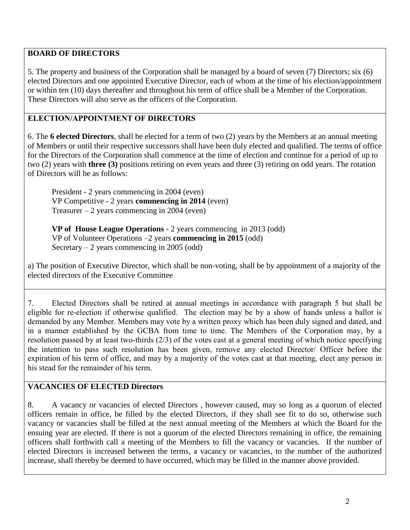### **BOARD OF DIRECTORS**

5. The property and business of the Corporation shall be managed by a board of seven (7) Directors; six (6) elected Directors and one appointed Executive Director, each of whom at the time of his election/appointment or within ten (10) days thereafter and throughout his term of office shall be a Member of the Corporation. These Directors will also serve as the officers of the Corporation.

#### **ELECTION/APPOINTMENT OF DIRECTORS**

6. The **6 elected Directors**, shall be elected for a term of two (2) years by the Members at an annual meeting of Members or until their respective successors shall have been duly elected and qualified. The terms of office for the Directors of the Corporation shall commence at the time of election and continue for a period of up to two (2) years with **three (3)** positions retiring on even years and three (3) retiring on odd years. The rotation of Directors will be as follows:

President - 2 years commencing in 2004 (even) VP Competitive - 2 years **commencing in 2014** (even) Treasurer  $-2$  years commencing in 2004 (even)

**VP of House League Operations** - 2 years commencing in 2013 (odd) VP of Volunteer Operations –2 years **commencing in 2015** (odd) Secretary  $-2$  years commencing in 2005 (odd)

a) The position of Executive Director, which shall be non-voting, shall be by appointment of a majority of the elected directors of the Executive Committee

7. Elected Directors shall be retired at annual meetings in accordance with paragraph 5 but shall be eligible for re-election if otherwise qualified. The election may be by a show of hands unless a ballot is demanded by any Member. Members may vote by a written proxy which has been duly signed and dated, and in a manner established by the GCBA from time to time. The Members of the Corporation may, by a resolution passed by at least two-thirds (2/3) of the votes cast at a general meeting of which notice specifying the intention to pass such resolution has been given, remove any elected Director/ Officer before the expiration of his term of office, and may by a majority of the votes cast at that meeting, elect any person in his stead for the remainder of his term.

#### **VACANCIES OF ELECTED Directors**

8. A vacancy or vacancies of elected Directors , however caused, may so long as a quorum of elected officers remain in office, be filled by the elected Directors, if they shall see fit to do so, otherwise such vacancy or vacancies shall be filled at the next annual meeting of the Members at which the Board for the ensuing year are elected. If there is not a quorum of the elected Directors remaining in office, the remaining officers shall forthwith call a meeting of the Members to fill the vacancy or vacancies. If the number of elected Directors is increased between the terms, a vacancy or vacancies, to the number of the authorized increase, shall thereby be deemed to have occurred, which may be filled in the manner above provided.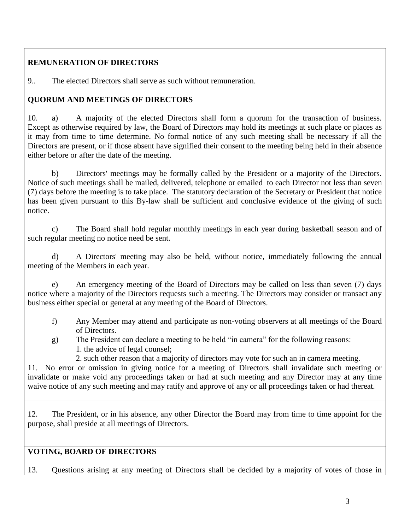## **REMUNERATION OF DIRECTORS**

9.. The elected Directors shall serve as such without remuneration.

### **QUORUM AND MEETINGS OF DIRECTORS**

10. a) A majority of the elected Directors shall form a quorum for the transaction of business. Except as otherwise required by law, the Board of Directors may hold its meetings at such place or places as it may from time to time determine. No formal notice of any such meeting shall be necessary if all the Directors are present, or if those absent have signified their consent to the meeting being held in their absence either before or after the date of the meeting.

b) Directors' meetings may be formally called by the President or a majority of the Directors. Notice of such meetings shall be mailed, delivered, telephone or emailed to each Director not less than seven (7) days before the meeting is to take place. The statutory declaration of the Secretary or President that notice has been given pursuant to this By-law shall be sufficient and conclusive evidence of the giving of such notice.

c) The Board shall hold regular monthly meetings in each year during basketball season and of such regular meeting no notice need be sent.

d) A Directors' meeting may also be held, without notice, immediately following the annual meeting of the Members in each year.

e) An emergency meeting of the Board of Directors may be called on less than seven (7) days notice where a majority of the Directors requests such a meeting. The Directors may consider or transact any business either special or general at any meeting of the Board of Directors.

- f) Any Member may attend and participate as non-voting observers at all meetings of the Board of Directors.
- g) The President can declare a meeting to be held "in camera" for the following reasons: 1. the advice of legal counsel;

2. such other reason that a majority of directors may vote for such an in camera meeting.

11. No error or omission in giving notice for a meeting of Directors shall invalidate such meeting or invalidate or make void any proceedings taken or had at such meeting and any Director may at any time waive notice of any such meeting and may ratify and approve of any or all proceedings taken or had thereat.

12. The President, or in his absence, any other Director the Board may from time to time appoint for the purpose, shall preside at all meetings of Directors.

## **VOTING, BOARD OF DIRECTORS**

13. Questions arising at any meeting of Directors shall be decided by a majority of votes of those in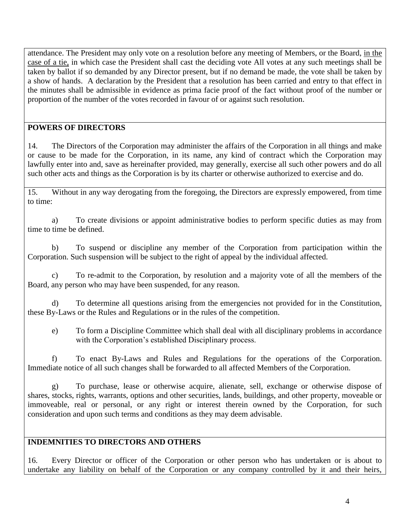attendance. The President may only vote on a resolution before any meeting of Members, or the Board, in the case of a tie, in which case the President shall cast the deciding vote All votes at any such meetings shall be taken by ballot if so demanded by any Director present, but if no demand be made, the vote shall be taken by a show of hands. A declaration by the President that a resolution has been carried and entry to that effect in the minutes shall be admissible in evidence as prima facie proof of the fact without proof of the number or proportion of the number of the votes recorded in favour of or against such resolution.

#### **POWERS OF DIRECTORS**

14. The Directors of the Corporation may administer the affairs of the Corporation in all things and make or cause to be made for the Corporation, in its name, any kind of contract which the Corporation may lawfully enter into and, save as hereinafter provided, may generally, exercise all such other powers and do all such other acts and things as the Corporation is by its charter or otherwise authorized to exercise and do.

15. Without in any way derogating from the foregoing, the Directors are expressly empowered, from time to time:

a) To create divisions or appoint administrative bodies to perform specific duties as may from time to time be defined.

b) To suspend or discipline any member of the Corporation from participation within the Corporation. Such suspension will be subject to the right of appeal by the individual affected.

c) To re-admit to the Corporation, by resolution and a majority vote of all the members of the Board, any person who may have been suspended, for any reason.

d) To determine all questions arising from the emergencies not provided for in the Constitution, these By-Laws or the Rules and Regulations or in the rules of the competition.

e) To form a Discipline Committee which shall deal with all disciplinary problems in accordance with the Corporation's established Disciplinary process.

f) To enact By-Laws and Rules and Regulations for the operations of the Corporation. Immediate notice of all such changes shall be forwarded to all affected Members of the Corporation.

g) To purchase, lease or otherwise acquire, alienate, sell, exchange or otherwise dispose of shares, stocks, rights, warrants, options and other securities, lands, buildings, and other property, moveable or immoveable, real or personal, or any right or interest therein owned by the Corporation, for such consideration and upon such terms and conditions as they may deem advisable.

### **INDEMNITIES TO DIRECTORS AND OTHERS**

16. Every Director or officer of the Corporation or other person who has undertaken or is about to undertake any liability on behalf of the Corporation or any company controlled by it and their heirs,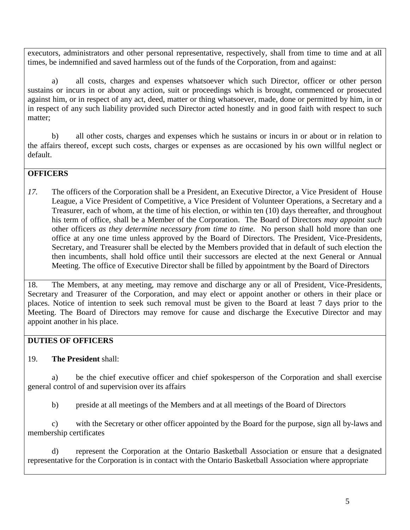executors, administrators and other personal representative, respectively, shall from time to time and at all times, be indemnified and saved harmless out of the funds of the Corporation, from and against:

a) all costs, charges and expenses whatsoever which such Director, officer or other person sustains or incurs in or about any action, suit or proceedings which is brought, commenced or prosecuted against him, or in respect of any act, deed, matter or thing whatsoever, made, done or permitted by him, in or in respect of any such liability provided such Director acted honestly and in good faith with respect to such matter;

b) all other costs, charges and expenses which he sustains or incurs in or about or in relation to the affairs thereof, except such costs, charges or expenses as are occasioned by his own willful neglect or default.

#### **OFFICERS**

*17.* The officers of the Corporation shall be a President, an Executive Director, a Vice President of House League, a Vice President of Competitive, a Vice President of Volunteer Operations, a Secretary and a Treasurer, each of whom, at the time of his election, or within ten (10) days thereafter, and throughout his term of office, shall be a Member of the Corporation. The Board of Directors *may appoint such*  other officers *as they determine necessary from time to time*. No person shall hold more than one office at any one time unless approved by the Board of Directors. The President, Vice-Presidents, Secretary, and Treasurer shall be elected by the Members provided that in default of such election the then incumbents, shall hold office until their successors are elected at the next General or Annual Meeting. The office of Executive Director shall be filled by appointment by the Board of Directors

18. The Members, at any meeting, may remove and discharge any or all of President, Vice-Presidents, Secretary and Treasurer of the Corporation, and may elect or appoint another or others in their place or places. Notice of intention to seek such removal must be given to the Board at least 7 days prior to the Meeting. The Board of Directors may remove for cause and discharge the Executive Director and may appoint another in his place.

### **DUTIES OF OFFICERS**

### 19. **The President** shall:

a) be the chief executive officer and chief spokesperson of the Corporation and shall exercise general control of and supervision over its affairs

b) preside at all meetings of the Members and at all meetings of the Board of Directors

c) with the Secretary or other officer appointed by the Board for the purpose, sign all by-laws and membership certificates

d) represent the Corporation at the Ontario Basketball Association or ensure that a designated representative for the Corporation is in contact with the Ontario Basketball Association where appropriate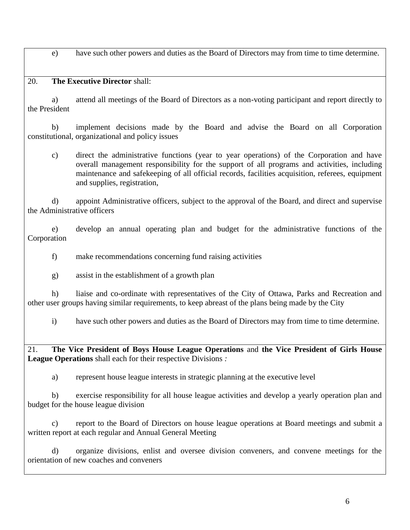e) have such other powers and duties as the Board of Directors may from time to time determine.

20. **The Executive Director** shall:

a) attend all meetings of the Board of Directors as a non-voting participant and report directly to the President

b) implement decisions made by the Board and advise the Board on all Corporation constitutional, organizational and policy issues

c) direct the administrative functions (year to year operations) of the Corporation and have overall management responsibility for the support of all programs and activities, including maintenance and safekeeping of all official records, facilities acquisition, referees, equipment and supplies, registration,

d) appoint Administrative officers, subject to the approval of the Board, and direct and supervise the Administrative officers

e) develop an annual operating plan and budget for the administrative functions of the Corporation

f) make recommendations concerning fund raising activities

g) assist in the establishment of a growth plan

h) liaise and co-ordinate with representatives of the City of Ottawa, Parks and Recreation and other user groups having similar requirements, to keep abreast of the plans being made by the City

i) have such other powers and duties as the Board of Directors may from time to time determine.

21. **The Vice President of Boys House League Operations** and **the Vice President of Girls House League Operations** shall each for their respective Divisions *:*

a) represent house league interests in strategic planning at the executive level

b) exercise responsibility for all house league activities and develop a yearly operation plan and budget for the house league division

c) report to the Board of Directors on house league operations at Board meetings and submit a written report at each regular and Annual General Meeting

d) organize divisions, enlist and oversee division conveners, and convene meetings for the orientation of new coaches and conveners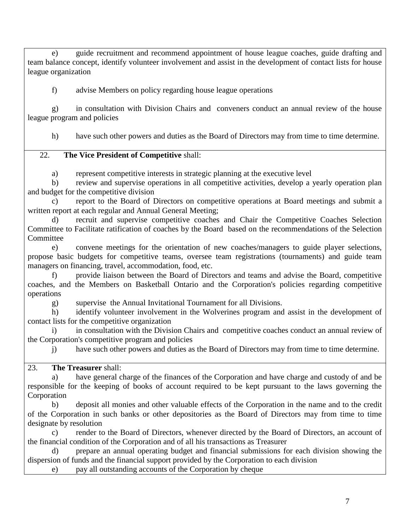e) guide recruitment and recommend appointment of house league coaches, guide drafting and team balance concept, identify volunteer involvement and assist in the development of contact lists for house league organization

f) advise Members on policy regarding house league operations

g) in consultation with Division Chairs and conveners conduct an annual review of the house league program and policies

h) have such other powers and duties as the Board of Directors may from time to time determine.

#### 22. **The Vice President of Competitive** shall:

a) represent competitive interests in strategic planning at the executive level

b) review and supervise operations in all competitive activities, develop a yearly operation plan and budget for the competitive division

c) report to the Board of Directors on competitive operations at Board meetings and submit a written report at each regular and Annual General Meeting;

d) recruit and supervise competitive coaches and Chair the Competitive Coaches Selection Committee to Facilitate ratification of coaches by the Board based on the recommendations of the Selection Committee

e) convene meetings for the orientation of new coaches/managers to guide player selections, propose basic budgets for competitive teams, oversee team registrations (tournaments) and guide team managers on financing, travel, accommodation, food, etc.

f) provide liaison between the Board of Directors and teams and advise the Board, competitive coaches, and the Members on Basketball Ontario and the Corporation's policies regarding competitive operations

g) supervise the Annual Invitational Tournament for all Divisions.

h) identify volunteer involvement in the Wolverines program and assist in the development of contact lists for the competitive organization

i) in consultation with the Division Chairs and competitive coaches conduct an annual review of the Corporation's competitive program and policies

j) have such other powers and duties as the Board of Directors may from time to time determine.

### 23. **The Treasurer** shall:

a) have general charge of the finances of the Corporation and have charge and custody of and be responsible for the keeping of books of account required to be kept pursuant to the laws governing the Corporation

b) deposit all monies and other valuable effects of the Corporation in the name and to the credit of the Corporation in such banks or other depositories as the Board of Directors may from time to time designate by resolution

c) render to the Board of Directors, whenever directed by the Board of Directors, an account of the financial condition of the Corporation and of all his transactions as Treasurer

d) prepare an annual operating budget and financial submissions for each division showing the dispersion of funds and the financial support provided by the Corporation to each division

e) pay all outstanding accounts of the Corporation by cheque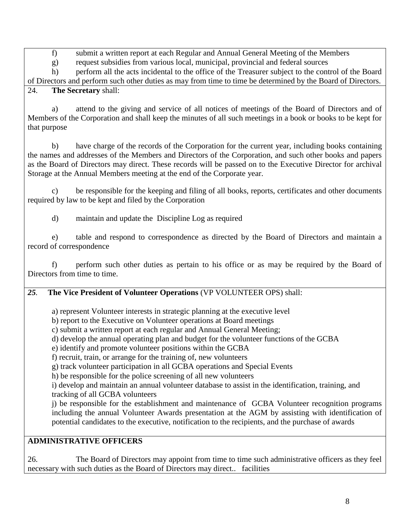f) submit a written report at each Regular and Annual General Meeting of the Members

g) request subsidies from various local, municipal, provincial and federal sources

h) perform all the acts incidental to the office of the Treasurer subject to the control of the Board of Directors and perform such other duties as may from time to time be determined by the Board of Directors. 24. **The Secretary** shall:

a) attend to the giving and service of all notices of meetings of the Board of Directors and of Members of the Corporation and shall keep the minutes of all such meetings in a book or books to be kept for that purpose

b) have charge of the records of the Corporation for the current year, including books containing the names and addresses of the Members and Directors of the Corporation, and such other books and papers as the Board of Directors may direct. These records will be passed on to the Executive Director for archival Storage at the Annual Members meeting at the end of the Corporate year.

c) be responsible for the keeping and filing of all books, reports, certificates and other documents required by law to be kept and filed by the Corporation

d) maintain and update the Discipline Log as required

e) table and respond to correspondence as directed by the Board of Directors and maintain a record of correspondence

f) perform such other duties as pertain to his office or as may be required by the Board of Directors from time to time.

## *25.* **The Vice President of Volunteer Operations** (VP VOLUNTEER OPS) shall:

a) represent Volunteer interests in strategic planning at the executive level

b) report to the Executive on Volunteer operations at Board meetings

c) submit a written report at each regular and Annual General Meeting;

d) develop the annual operating plan and budget for the volunteer functions of the GCBA

e) identify and promote volunteer positions within the GCBA

f) recruit, train, or arrange for the training of, new volunteers

g) track volunteer participation in all GCBA operations and Special Events

h) be responsible for the police screening of all new volunteers

i) develop and maintain an annual volunteer database to assist in the identification, training, and tracking of all GCBA volunteers

j) be responsible for the establishment and maintenance of GCBA Volunteer recognition programs including the annual Volunteer Awards presentation at the AGM by assisting with identification of potential candidates to the executive, notification to the recipients, and the purchase of awards

## **ADMINISTRATIVE OFFICERS**

26. The Board of Directors may appoint from time to time such administrative officers as they feel necessary with such duties as the Board of Directors may direct.. facilities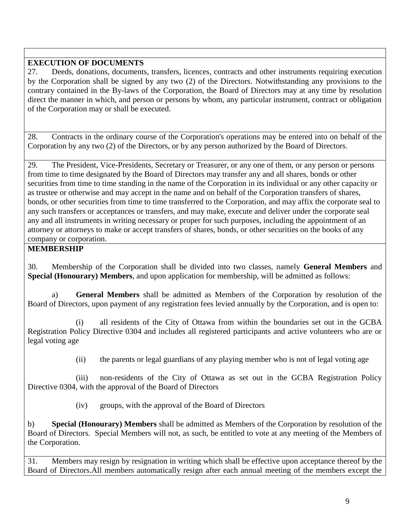### **EXECUTION OF DOCUMENTS**

27. Deeds, donations, documents, transfers, licences, contracts and other instruments requiring execution by the Corporation shall be signed by any two (2) of the Directors. Notwithstanding any provisions to the contrary contained in the By-laws of the Corporation, the Board of Directors may at any time by resolution direct the manner in which, and person or persons by whom, any particular instrument, contract or obligation of the Corporation may or shall be executed.

28. Contracts in the ordinary course of the Corporation's operations may be entered into on behalf of the Corporation by any two (2) of the Directors, or by any person authorized by the Board of Directors.

29. The President, Vice-Presidents, Secretary or Treasurer, or any one of them, or any person or persons from time to time designated by the Board of Directors may transfer any and all shares, bonds or other securities from time to time standing in the name of the Corporation in its individual or any other capacity or as trustee or otherwise and may accept in the name and on behalf of the Corporation transfers of shares, bonds, or other securities from time to time transferred to the Corporation, and may affix the corporate seal to any such transfers or acceptances or transfers, and may make, execute and deliver under the corporate seal any and all instruments in writing necessary or proper for such purposes, including the appointment of an attorney or attorneys to make or accept transfers of shares, bonds, or other securities on the books of any company or corporation.

### **MEMBERSHIP**

30. Membership of the Corporation shall be divided into two classes, namely **General Members** and **Special (Honourary) Members**, and upon application for membership, will be admitted as follows:

a) **General Members** shall be admitted as Members of the Corporation by resolution of the Board of Directors, upon payment of any registration fees levied annually by the Corporation, and is open to:

(i) all residents of the City of Ottawa from within the boundaries set out in the GCBA Registration Policy Directive 0304 and includes all registered participants and active volunteers who are or legal voting age

(ii) the parents or legal guardians of any playing member who is not of legal voting age

(iii) non-residents of the City of Ottawa as set out in the GCBA Registration Policy Directive 0304, with the approval of the Board of Directors

(iv) groups, with the approval of the Board of Directors

b) **Special (Honourary) Members** shall be admitted as Members of the Corporation by resolution of the Board of Directors. Special Members will not, as such, be entitled to vote at any meeting of the Members of the Corporation.

31. Members may resign by resignation in writing which shall be effective upon acceptance thereof by the Board of Directors.All members automatically resign after each annual meeting of the members except the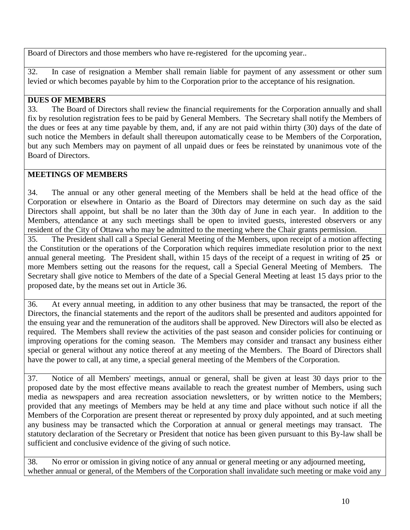Board of Directors and those members who have re-registered for the upcoming year..

32. In case of resignation a Member shall remain liable for payment of any assessment or other sum levied or which becomes payable by him to the Corporation prior to the acceptance of his resignation.

#### **DUES OF MEMBERS**

33. The Board of Directors shall review the financial requirements for the Corporation annually and shall fix by resolution registration fees to be paid by General Members. The Secretary shall notify the Members of the dues or fees at any time payable by them, and, if any are not paid within thirty (30) days of the date of such notice the Members in default shall thereupon automatically cease to be Members of the Corporation, but any such Members may on payment of all unpaid dues or fees be reinstated by unanimous vote of the Board of Directors.

#### **MEETINGS OF MEMBERS**

34. The annual or any other general meeting of the Members shall be held at the head office of the Corporation or elsewhere in Ontario as the Board of Directors may determine on such day as the said Directors shall appoint, but shall be no later than the 30th day of June in each year. In addition to the Members, attendance at any such meetings shall be open to invited guests, interested observers or any resident of the City of Ottawa who may be admitted to the meeting where the Chair grants permission.

35. The President shall call a Special General Meeting of the Members, upon receipt of a motion affecting the Constitution or the operations of the Corporation which requires immediate resolution prior to the next annual general meeting. The President shall, within 15 days of the receipt of a request in writing of **25** or more Members setting out the reasons for the request, call a Special General Meeting of Members. The Secretary shall give notice to Members of the date of a Special General Meeting at least 15 days prior to the proposed date, by the means set out in Article 36.

36. At every annual meeting, in addition to any other business that may be transacted, the report of the Directors, the financial statements and the report of the auditors shall be presented and auditors appointed for the ensuing year and the remuneration of the auditors shall be approved. New Directors will also be elected as required. The Members shall review the activities of the past season and consider policies for continuing or improving operations for the coming season. The Members may consider and transact any business either special or general without any notice thereof at any meeting of the Members. The Board of Directors shall have the power to call, at any time, a special general meeting of the Members of the Corporation.

37. Notice of all Members' meetings, annual or general, shall be given at least 30 days prior to the proposed date by the most effective means available to reach the greatest number of Members, using such media as newspapers and area recreation association newsletters, or by written notice to the Members; provided that any meetings of Members may be held at any time and place without such notice if all the Members of the Corporation are present thereat or represented by proxy duly appointed, and at such meeting any business may be transacted which the Corporation at annual or general meetings may transact. The statutory declaration of the Secretary or President that notice has been given pursuant to this By-law shall be sufficient and conclusive evidence of the giving of such notice.

38. No error or omission in giving notice of any annual or general meeting or any adjourned meeting, whether annual or general, of the Members of the Corporation shall invalidate such meeting or make void any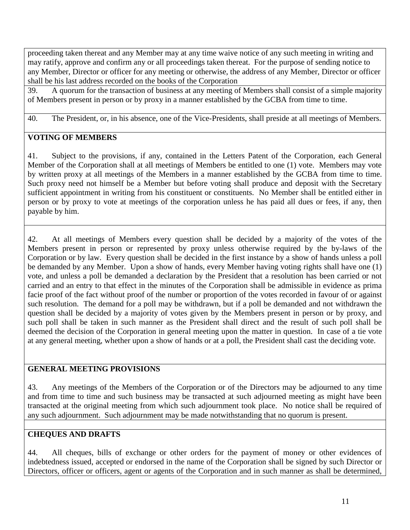proceeding taken thereat and any Member may at any time waive notice of any such meeting in writing and may ratify, approve and confirm any or all proceedings taken thereat. For the purpose of sending notice to any Member, Director or officer for any meeting or otherwise, the address of any Member, Director or officer shall be his last address recorded on the books of the Corporation

39. A quorum for the transaction of business at any meeting of Members shall consist of a simple majority of Members present in person or by proxy in a manner established by the GCBA from time to time.

40. The President, or, in his absence, one of the Vice-Presidents, shall preside at all meetings of Members.

#### **VOTING OF MEMBERS**

41. Subject to the provisions, if any, contained in the Letters Patent of the Corporation, each General Member of the Corporation shall at all meetings of Members be entitled to one (1) vote. Members may vote by written proxy at all meetings of the Members in a manner established by the GCBA from time to time. Such proxy need not himself be a Member but before voting shall produce and deposit with the Secretary sufficient appointment in writing from his constituent or constituents. No Member shall be entitled either in person or by proxy to vote at meetings of the corporation unless he has paid all dues or fees, if any, then payable by him.

42. At all meetings of Members every question shall be decided by a majority of the votes of the Members present in person or represented by proxy unless otherwise required by the by-laws of the Corporation or by law. Every question shall be decided in the first instance by a show of hands unless a poll be demanded by any Member. Upon a show of hands, every Member having voting rights shall have one (1) vote, and unless a poll be demanded a declaration by the President that a resolution has been carried or not carried and an entry to that effect in the minutes of the Corporation shall be admissible in evidence as prima facie proof of the fact without proof of the number or proportion of the votes recorded in favour of or against such resolution. The demand for a poll may be withdrawn, but if a poll be demanded and not withdrawn the question shall be decided by a majority of votes given by the Members present in person or by proxy, and such poll shall be taken in such manner as the President shall direct and the result of such poll shall be deemed the decision of the Corporation in general meeting upon the matter in question. In case of a tie vote at any general meeting, whether upon a show of hands or at a poll, the President shall cast the deciding vote.

#### **GENERAL MEETING PROVISIONS**

43. Any meetings of the Members of the Corporation or of the Directors may be adjourned to any time and from time to time and such business may be transacted at such adjourned meeting as might have been transacted at the original meeting from which such adjournment took place. No notice shall be required of any such adjournment. Such adjournment may be made notwithstanding that no quorum is present.

#### **CHEQUES AND DRAFTS**

44. All cheques, bills of exchange or other orders for the payment of money or other evidences of indebtedness issued, accepted or endorsed in the name of the Corporation shall be signed by such Director or Directors, officer or officers, agent or agents of the Corporation and in such manner as shall be determined,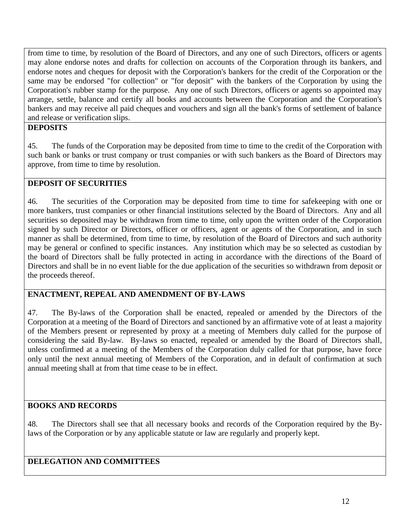from time to time, by resolution of the Board of Directors, and any one of such Directors, officers or agents may alone endorse notes and drafts for collection on accounts of the Corporation through its bankers, and endorse notes and cheques for deposit with the Corporation's bankers for the credit of the Corporation or the same may be endorsed "for collection" or "for deposit" with the bankers of the Corporation by using the Corporation's rubber stamp for the purpose. Any one of such Directors, officers or agents so appointed may arrange, settle, balance and certify all books and accounts between the Corporation and the Corporation's bankers and may receive all paid cheques and vouchers and sign all the bank's forms of settlement of balance and release or verification slips.

#### **DEPOSITS**

45. The funds of the Corporation may be deposited from time to time to the credit of the Corporation with such bank or banks or trust company or trust companies or with such bankers as the Board of Directors may approve, from time to time by resolution.

#### **DEPOSIT OF SECURITIES**

46. The securities of the Corporation may be deposited from time to time for safekeeping with one or more bankers, trust companies or other financial institutions selected by the Board of Directors. Any and all securities so deposited may be withdrawn from time to time, only upon the written order of the Corporation signed by such Director or Directors, officer or officers, agent or agents of the Corporation, and in such manner as shall be determined, from time to time, by resolution of the Board of Directors and such authority may be general or confined to specific instances. Any institution which may be so selected as custodian by the board of Directors shall be fully protected in acting in accordance with the directions of the Board of Directors and shall be in no event liable for the due application of the securities so withdrawn from deposit or the proceeds thereof.

#### **ENACTMENT, REPEAL AND AMENDMENT OF BY-LAWS**

47. The By-laws of the Corporation shall be enacted, repealed or amended by the Directors of the Corporation at a meeting of the Board of Directors and sanctioned by an affirmative vote of at least a majority of the Members present or represented by proxy at a meeting of Members duly called for the purpose of considering the said By-law. By-laws so enacted, repealed or amended by the Board of Directors shall, unless confirmed at a meeting of the Members of the Corporation duly called for that purpose, have force only until the next annual meeting of Members of the Corporation, and in default of confirmation at such annual meeting shall at from that time cease to be in effect.

#### **BOOKS AND RECORDS**

48. The Directors shall see that all necessary books and records of the Corporation required by the Bylaws of the Corporation or by any applicable statute or law are regularly and properly kept.

### **DELEGATION AND COMMITTEES**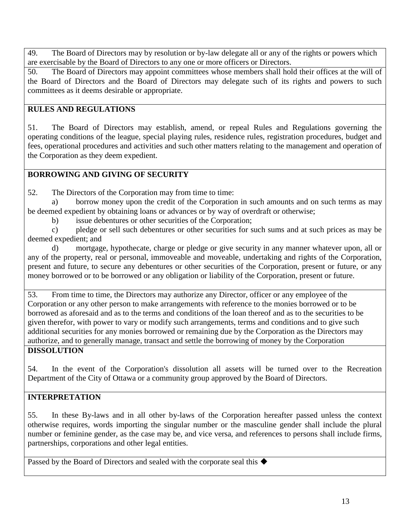49. The Board of Directors may by resolution or by-law delegate all or any of the rights or powers which are exercisable by the Board of Directors to any one or more officers or Directors.

50. The Board of Directors may appoint committees whose members shall hold their offices at the will of the Board of Directors and the Board of Directors may delegate such of its rights and powers to such committees as it deems desirable or appropriate.

### **RULES AND REGULATIONS**

51. The Board of Directors may establish, amend, or repeal Rules and Regulations governing the operating conditions of the league, special playing rules, residence rules, registration procedures, budget and fees, operational procedures and activities and such other matters relating to the management and operation of the Corporation as they deem expedient.

## **BORROWING AND GIVING OF SECURITY**

52. The Directors of the Corporation may from time to time:

a) borrow money upon the credit of the Corporation in such amounts and on such terms as may be deemed expedient by obtaining loans or advances or by way of overdraft or otherwise;

b) issue debentures or other securities of the Corporation;

c) pledge or sell such debentures or other securities for such sums and at such prices as may be deemed expedient; and

d) mortgage, hypothecate, charge or pledge or give security in any manner whatever upon, all or any of the property, real or personal, immoveable and moveable, undertaking and rights of the Corporation, present and future, to secure any debentures or other securities of the Corporation, present or future, or any money borrowed or to be borrowed or any obligation or liability of the Corporation, present or future.

53. From time to time, the Directors may authorize any Director, officer or any employee of the Corporation or any other person to make arrangements with reference to the monies borrowed or to be borrowed as aforesaid and as to the terms and conditions of the loan thereof and as to the securities to be given therefor, with power to vary or modify such arrangements, terms and conditions and to give such additional securities for any monies borrowed or remaining due by the Corporation as the Directors may authorize, and to generally manage, transact and settle the borrowing of money by the Corporation

### **DISSOLUTION**

54. In the event of the Corporation's dissolution all assets will be turned over to the Recreation Department of the City of Ottawa or a community group approved by the Board of Directors.

## **INTERPRETATION**

55. In these By-laws and in all other by-laws of the Corporation hereafter passed unless the context otherwise requires, words importing the singular number or the masculine gender shall include the plural number or feminine gender, as the case may be, and vice versa, and references to persons shall include firms, partnerships, corporations and other legal entities.

Passed by the Board of Directors and sealed with the corporate seal this  $\blacklozenge$